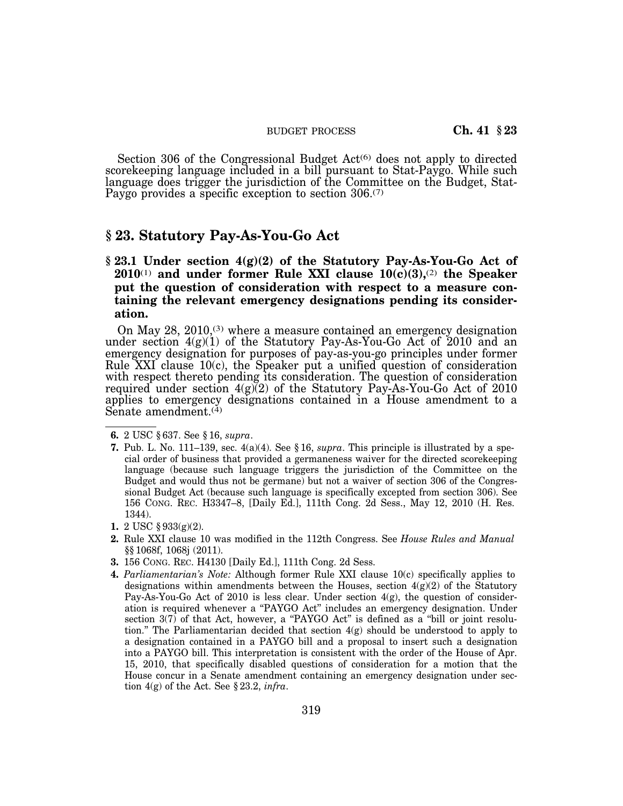#### BUDGET PROCESS **Ch. 41 § 23**

Section 306 of the Congressional Budget  $Act^{(6)}$  does not apply to directed scorekeeping language included in a bill pursuant to Stat-Paygo. While such language does trigger the jurisdiction of the Committee on the Budget, Stat-Paygo provides a specific exception to section 306.<sup>(7)</sup>

# **§ 23. Statutory Pay-As-You-Go Act**

**§ 23.1 Under section 4(g)(2) of the Statutory Pay-As-You-Go Act of 2010**(1) **and under former Rule XXI clause 10(c)(3),**(2) **the Speaker put the question of consideration with respect to a measure containing the relevant emergency designations pending its consideration.** 

On May  $28$ ,  $2010^{(3)}$  where a measure contained an emergency designation under section  $4(g)(1)$  of the Statutory Pay-As-You-Go Act of 2010 and an emergency designation for purposes of pay-as-you-go principles under former Rule XXI clause 10(c), the Speaker put a unified question of consideration with respect thereto pending its consideration. The question of consideration required under section  $4(g)(2)$  of the Statutory Pay-As-You-Go Act of 2010 applies to emergency designations contained in a House amendment to a Senate amendment.<sup>(4)</sup>

- **3.** 156 CONG. REC. H4130 [Daily Ed.], 111th Cong. 2d Sess.
- **4.** *Parliamentarian's Note:* Although former Rule XXI clause 10(c) specifically applies to designations within amendments between the Houses, section  $4(g)(2)$  of the Statutory Pay-As-You-Go Act of 2010 is less clear. Under section 4(g), the question of consideration is required whenever a ''PAYGO Act'' includes an emergency designation. Under section 3(7) of that Act, however, a "PAYGO Act" is defined as a "bill or joint resolution." The Parliamentarian decided that section  $4(g)$  should be understood to apply to a designation contained in a PAYGO bill and a proposal to insert such a designation into a PAYGO bill. This interpretation is consistent with the order of the House of Apr. 15, 2010, that specifically disabled questions of consideration for a motion that the House concur in a Senate amendment containing an emergency designation under section 4(g) of the Act. See § 23.2, *infra*.

**<sup>6.</sup>** 2 USC § 637. See § 16, *supra*.

**<sup>7.</sup>** Pub. L. No. 111–139, sec. 4(a)(4). See § 16, *supra*. This principle is illustrated by a special order of business that provided a germaneness waiver for the directed scorekeeping language (because such language triggers the jurisdiction of the Committee on the Budget and would thus not be germane) but not a waiver of section 306 of the Congressional Budget Act (because such language is specifically excepted from section 306). See 156 CONG. REC. H3347–8, [Daily Ed.], 111th Cong. 2d Sess., May 12, 2010 (H. Res. 1344).

**<sup>1.</sup>** 2 USC § 933(g)(2).

**<sup>2.</sup>** Rule XXI clause 10 was modified in the 112th Congress. See *House Rules and Manual*  §§ 1068f, 1068j (2011).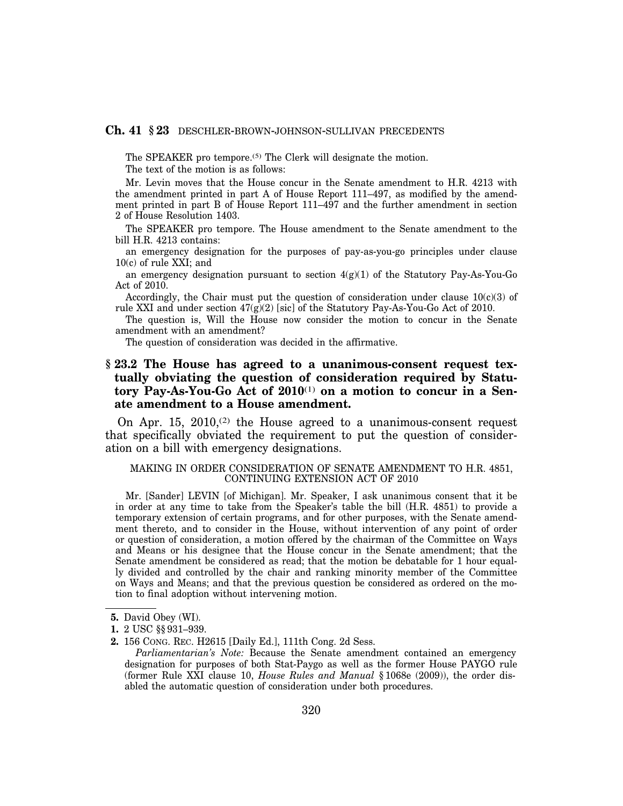## **Ch. 41 § 23** DESCHLER-BROWN-JOHNSON-SULLIVAN PRECEDENTS

The SPEAKER pro tempore.<sup>(5)</sup> The Clerk will designate the motion.

The text of the motion is as follows:

Mr. Levin moves that the House concur in the Senate amendment to H.R. 4213 with the amendment printed in part A of House Report 111–497, as modified by the amendment printed in part B of House Report 111–497 and the further amendment in section 2 of House Resolution 1403.

The SPEAKER pro tempore. The House amendment to the Senate amendment to the bill H.R. 4213 contains:

an emergency designation for the purposes of pay-as-you-go principles under clause 10(c) of rule XXI; and

an emergency designation pursuant to section  $4(g)(1)$  of the Statutory Pay-As-You-Go Act of 2010.

Accordingly, the Chair must put the question of consideration under clause  $10(c)(3)$  of rule XXI and under section  $47(g)(2)$  [sic] of the Statutory Pay-As-You-Go Act of 2010.

The question is, Will the House now consider the motion to concur in the Senate amendment with an amendment?

The question of consideration was decided in the affirmative.

## **§ 23.2 The House has agreed to a unanimous-consent request textually obviating the question of consideration required by Statutory Pay-As-You-Go Act of 2010**(1) **on a motion to concur in a Senate amendment to a House amendment.**

On Apr. 15, 2010, $(2)$  the House agreed to a unanimous-consent request that specifically obviated the requirement to put the question of consideration on a bill with emergency designations.

## MAKING IN ORDER CONSIDERATION OF SENATE AMENDMENT TO H.R. 4851, CONTINUING EXTENSION ACT OF 2010

Mr. [Sander] LEVIN [of Michigan]. Mr. Speaker, I ask unanimous consent that it be in order at any time to take from the Speaker's table the bill (H.R. 4851) to provide a temporary extension of certain programs, and for other purposes, with the Senate amendment thereto, and to consider in the House, without intervention of any point of order or question of consideration, a motion offered by the chairman of the Committee on Ways and Means or his designee that the House concur in the Senate amendment; that the Senate amendment be considered as read; that the motion be debatable for 1 hour equally divided and controlled by the chair and ranking minority member of the Committee on Ways and Means; and that the previous question be considered as ordered on the motion to final adoption without intervening motion.

*Parliamentarian's Note:* Because the Senate amendment contained an emergency designation for purposes of both Stat-Paygo as well as the former House PAYGO rule (former Rule XXI clause 10, *House Rules and Manual* § 1068e (2009)), the order disabled the automatic question of consideration under both procedures.

**<sup>5.</sup>** David Obey (WI).

**<sup>1.</sup>** 2 USC §§ 931–939.

**<sup>2.</sup>** 156 CONG. REC. H2615 [Daily Ed.], 111th Cong. 2d Sess.